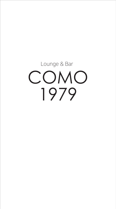# COMO 1979 Lounge & Bar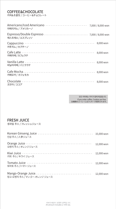# COFFEE&CHOCOLATE

커피&초콜릿 / コーヒー&チョコレート

| Americano/Iced Americano ------------------------- 7,000 / 8,000 won<br>아메리카노 / アメリカーノ |           |
|----------------------------------------------------------------------------------------|-----------|
| 에스프레소 / エスプレッソ                                                                         |           |
| 카푸치노 / カプチーノ                                                                           |           |
| 카페라떼 / カフェラテ                                                                           | 8,000 won |
| 바닐라라떼 / バニララテ                                                                          |           |
| 카페모카 / カフェモカ                                                                           |           |
| 코코아 / ココア                                                                              | 8,000 won |

모든 커피에는 쿠키가 함께 제공됩니다. If you order coffee, Cookies are free. 全種類のコーヒーにはクッキーが提供されます。

### FRESH JUICE

|  | 생과일 주스 / フレッシュジュース |
|--|--------------------|
|--|--------------------|

| 인삼 주스 / 人參ジュース                                           | 15,000 won |
|----------------------------------------------------------|------------|
| 오렌지 주스 / オレンジジュース                                        | 12,000 won |
| 키위 주스 / キウイ ジュース                                         | 12,000 won |
| 토마토 주스 / トマト・ジュース                                        | 12,000 won |
| Mango-Orange Juice - - - -<br>망고-오렌지 주스 / マンゴー-オレンジ ジュース | 12,000 won |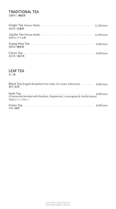### TRADITIONAL TEA

전통차 / 傳統茶

| 생강차 / 生姜茶  | 11,000 won |
|------------|------------|
| 대추차 / ナツメ茶 | 11,000 won |
| 쌍화차/雙和茶    | 8,000 won  |
| 유자차 / 柚子茶  | 8,000 won  |

### LEAF TEA

차 / 茶

| Black Tea (English Breakfast from India, Sri Lanka, Indonesia) - - - - - - - 8,000 won<br>홍차 / 紅茶 |  |
|---------------------------------------------------------------------------------------------------|--|
| (Chamomile blended with Rooibos, Peppermint, Lemongrass & Vanilla beans)<br>허브티 / ハーブティー          |  |
| 녹차 / 緑茶                                                                                           |  |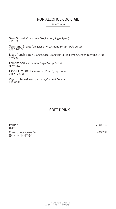### NON ALCOHOL COCKTAIL

10,000 won

Sanri Sunset (Chamomile Tea, Lemon, Sugar Syrup) 산리 선셋

Sanmandi Breeze (Ginger, Lemon, Almond Syrup, Apple Juice) 산만디 브리즈

Ibagu Punch (Fresh Orange Juice, Grapefruit Juice, Lemon, Ginger, Toffy Nut Syrup) 이바구 펀치

Lemonade (Fresh Lemon, Sugar Syrup, Soda) 레몬에이드

Hibis-Plum Fizz (Hibiscus tea, Plum Syrup, Soda) 히비스- 매실 피즈

Virgin Colada (Pineapple Juice, Coconut Cream) 버진 콜라다

# SOFT DRINK

| 페리에                                                                                   |  |
|---------------------------------------------------------------------------------------|--|
| Coke, Sprite, Coke Zero ------------------------------- 6,000 won<br>콜라 / 사이다 / 제로 콜라 |  |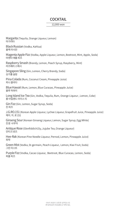### COCKTAIL

#### 12,000 won

Margarita (Tequila, Orange Liqueur, Lemon) 마가리타

Black Russian (Vodka, Kahlua) 블랙 러시안

Magenta Apple Fizz (Vodka, Apple Liqueur, Lemon, Beetroot, Mint, Apple, Soda) 마젠타 애플 피즈

Raspberry Smash (Brandy, Lemon, Peach Syrup, Raspberry, Mint) 라즈베리 스매시

Singapore Sling (Gin, Lemon, Cherry Brandy, Soda) 싱가폴 슬링

Pina Colada (Rum, Coconut Cream, Pineapple Juice) 피나 콜라다

Blue Hawaii (Rum, Lemon, Blue Curacao, Pineapple Juice) 블루 하와이

Long Island Ice Tea (Gin, Vodka, Tequila, Rum, Orange Liqueur , Lemon, Coke) 롱 아일랜드 아이스 티

Gin Fizz (Gin, Lemon, Sugar Syrup, Soda) 진 피즈

J.G.RO.151 (Korean Apple Liqueur, Lychee Liqueur, Grapefruit Juice, Pineapple Juice) 제이. 지. 로 151

Ginseng Sour (Korean Ginseng Liqueur, Lemon, Sugar Syrup, Egg White) 진셍 사우어

Antique Rose (Glenfiddich15y, Jujube Tea, Orange Liqueur) 안티크 로즈

Hee-Rak (Korean Pine Needle Liqueur, Pernod, Lemon, Pineapple Juice) 희락

Green Mist (Vodka, St-germain, Peach Liqueur, Lemon, Kiwi Fruit, Soda) 그린 미스트

Purple Fizz (Vodka, Cacao Liqueur, Beetroot, Blue Curacao, Lemon, Soda) 퍼플 피즈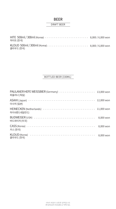### BEER

### DRAFT BEER

| 하이트(한국)   |  |
|-----------|--|
| 클라우드 (한국) |  |

### BOTTLED BEER (330ML)

| 파울라너 (독일)                                                             | 13,000 won |
|-----------------------------------------------------------------------|------------|
| 아사히 (일본)                                                              | 12,000 won |
| HEINECKEN (Netherlands) ------------------------------<br>하이네켄 (네덜란드) | 11,000 won |
| 버드와이저 (미국)                                                            | 8,000 won  |
| 카스 (한국)                                                               | 8,000 won  |
| 클라우드 (한국)                                                             | 8,000 won  |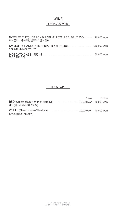### WINE SPARKLING WINE

| NV VEUVE CLICQUOT PONSARDIN YELLOW LABEL BRUT 750ml - - 170,000 won<br>뵈브 클리코 퐁샤르댕 옐로우 라벨 브뤼 NV |  |
|-------------------------------------------------------------------------------------------------|--|
| NV MOET CHANDON IMPERIAL BRUT 750ml - - - - - - - - - - - - 150,000 won<br>모엣 샹동 임페리얼 브뤼 NV     |  |
| 모스카토 다스티                                                                                        |  |

### HOUSE WINE

|                                                                                    | Glass | <b>Bottle</b> |
|------------------------------------------------------------------------------------|-------|---------------|
| RED (Cabernet Sauvignon of Moldova)<br>$        -$ 10,000 won 40,000 won           |       |               |
| 레드 (몰도바 까베르네 쏘비뇽)                                                                  |       |               |
| WHITE (Chardonnay of Moldova)<br>$-$ - - - - - - - - - - - - 10,000 won 40,000 won |       |               |
| 화이트 (몰도바 샤도네이)                                                                     |       |               |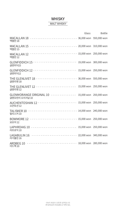# **WHISKY**

### MALT WHISKY

|                                                                                           | Glass | <b>Bottle</b> |
|-------------------------------------------------------------------------------------------|-------|---------------|
| 맥캘란 18                                                                                    |       |               |
| 맥캘란 15                                                                                    |       |               |
| 맥캘란 12                                                                                    |       |               |
| 글렌피딕15                                                                                    |       |               |
| 글렌피딕12                                                                                    |       |               |
| 글렌리벳 18                                                                                   |       |               |
| 글렌리벳 12                                                                                   |       |               |
| GLENMORANGE ORIGINAL 10 - - - - - - - - - - - - - 15,000 won 250,000 won<br>글렌모란지 오리지날 10 |       |               |
| 오큰토션 12                                                                                   |       |               |
| TALISKER 10 --------------------------- 14,000 won 240,000 won<br>탈리스커 10                 |       |               |
| BOWMORE 12 -------------------------- 15,000 won 250,000 won<br>보모어 12                    |       |               |
| LAPHROAIG 10 --------------------------- 15,000 won 250,000 won<br>라프로익 10                |       |               |
| LAGABULIN 16 ------------------------- 22,000 won 340,000 won<br>라가불린 16                  |       |               |
| ARDBEG 10 ---------------------------- 18,000 won 280,000 won<br>아드백 10                   |       |               |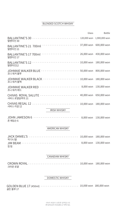### BLENDED SCOTCH WHISKY

|                                                                                             |                        | Glass Bottle |
|---------------------------------------------------------------------------------------------|------------------------|--------------|
| 발렌타인 30                                                                                     |                        |              |
| BALLANTINE'S 21 700ml - - - - - - - - - - - - - - - - - 37,000 won 600,000 won<br>발렌타인 21   |                        |              |
| BALLANTINE'S 17 700ml - - - - - - - - - - - - - - - - - - 26,000 won 430,000 won<br>발렌타인 17 |                        |              |
| BALLANTINE'S 12 ------------------------- 10,000 won 180,000 won<br>발렌타인12                  |                        |              |
| 조니 워커 블루                                                                                    |                        |              |
| JOHNNIE WALKER BLACK - - - - - - - - - - - - - - - - - - 10,000 won 180,000 won<br>조니 워커 블랙 |                        |              |
| 조니 워커 레드                                                                                    |                        |              |
| 시바스 로얄살루트 21                                                                                |                        |              |
| 시바스 리갈 12                                                                                   |                        |              |
|                                                                                             | <b>IRISH WHISKY</b>    |              |
| JOHN JAMESON 6 -------------------------- 8,000 won 130,000 won<br>존 제임슨 6                  |                        |              |
|                                                                                             | AMERICAN WHISKY        |              |
| 잭 다니엘                                                                                       |                        |              |
| 짐빔                                                                                          |                        |              |
|                                                                                             | <b>CANADIAN WHISKY</b> |              |
| 크라운 로얄                                                                                      |                        |              |
|                                                                                             | <b>DOMESTIC WHISKY</b> |              |

GOLDEN BLUE 17 (450ml) - - - - - - - - - - - - - - - - - - 10,000 won 180,000 won 골든 블루 17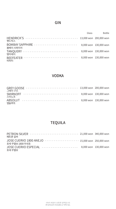# GIN

|                                                   | Glass | <b>Bottle</b>          |
|---------------------------------------------------|-------|------------------------|
| HENDRICK'S ------------------------------<br>해드릭스 |       | 13,000 won 200,000 won |
| 봄베이 사파이어                                          |       | 8,000 won 130,000 won  |
| 탱커레이                                              |       | 8,000 won 130,000 won  |
| BEEFEATER<br>비피터                                  |       | 8,000 won 130,000 won  |

# VODKA

| <b>GREY GOOSE</b><br>그레이 구즈 | 13,000 won 200,000 won |
|-----------------------------|------------------------|
| <b>SMIRNOFF</b><br>스미노프     | 8,000 won 130,000 won  |
| <b>ABSOLUT</b><br>앱솔루트      | 8,000 won 130,000 won  |

# TEQUILA

| PETRON SILVER -------------------------- 21,000 won 340,000 won<br>페트론 실버                        |  |
|--------------------------------------------------------------------------------------------------|--|
| JOSE CUERVO 1800 ANEJO - - - - - - - - - - - - - - - - 15,000 won 250,000 won<br>호세 쿠엘보 1800 아네호 |  |
| JOSE CUERVO ESPECIAL -------------------- 8,000 won 130,000 won<br>호세 쿠엘보                        |  |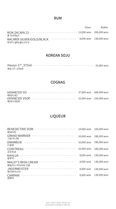### RUM

|                                                                                | Glass | Bottle |
|--------------------------------------------------------------------------------|-------|--------|
| RON ZACAPA 23 -------------------------- 13,000 won 200,000 won<br>론 자카파23     |       |        |
| BACARDI SILVER/GOLD/BLACK -------------- 8,000 won 130,000 won<br>바카디 실버/골드/다크 |       |        |

### KOREAN SOJU

| 화요 17°, 375ml |  |  |  |  |  |  |  |  |  |  |  |
|---------------|--|--|--|--|--|--|--|--|--|--|--|

### COGNAG

| 헤네시 XO                                                                    |  |
|---------------------------------------------------------------------------|--|
| HENNESSY VSOP ------------------------ 15,000 won 250,000 won<br>헤네시 VSOP |  |

# LIQUEUR

| 베네딕틴                                                    | 14,000 won | 220,000 won |
|---------------------------------------------------------|------------|-------------|
| <b>GRAND MARNIER</b> -----------------------<br>그랑 마니에  | 10,000 won | 180,000 won |
| <b>DRAMBUIE</b><br>드람뷰                                  | 10,000 won | 180,000 won |
| <b>COINTREAU</b><br>꼬인트로                                | 10,000 won | 180,000 won |
| <b>KAHLUA</b><br>칼루아                                    | 8,000 won  | 130,000 won |
| <u>.</u><br><b>BAILEY'S IRISH CREAM</b><br>베일리스 아이리쉬 크림 | 8,000 won  | 130,000 won |
| ______________________<br><b>JAGERMEISTER</b><br>예거마이스터 | 8,000 won  | 130,000 won |
| <b>CAMPARI</b><br>깜빠리                                   | 8,000 won  | 130,000 won |
|                                                         |            |             |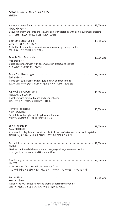### 간단한 식사 SNACKS (Order Time 11:00~22:20)

| Various Cheese Salad <b>Automatic Accepts</b><br>다양한 치즈 샐러드                                                                                                                                                                             | 18,000 won |
|-----------------------------------------------------------------------------------------------------------------------------------------------------------------------------------------------------------------------------------------|------------|
| Brie, Fruit cream and Fetta cheese & mixed herb vegetables with citrus, cucumber dressing<br>3가지 모듬 치즈 그린 샐러드와 오렌지, 오이 드레싱                                                                                                              |            |
| 쇠고기 스트립 스테이크 샐러드<br>Grilled beef sirloin strip steak with mushroom and green vegetables<br>구워 자른 쇠고기 등심과 버섯, 그린 야채                                                                                                                      | 19,000 won |
| 더블 클럽 샌드위치<br>Doble decker Sandwich with bacon, chicken breast, egg, lettuce<br>두 겹으로 만든 담백한 맛의 샌드위치                                                                                                                                    | 19,000 won |
| Black Bun Hamburger [10] [10] Black Bundle Paradox Research Research Research Research Research Research Research<br>블랙 번 햄버거<br>Prime beef burger served with squid ink bun and french fries<br>오징어 잉크 롤빵에 곁들여 진 프라임 쇠고기 햄버거와 프렌치 포테이토 | 19,000 won |
| 마늘, 오일, 고추 스파게티<br>Spaghetti with garlic, oil sauce and pepper flavor<br>마늘, 오일소스에 고추의 풍미를 더한 스파게티                                                                                                                                      | 18,000 won |
| 토마토 딸리아텔레<br>Tagliatelle with a light and deep flavor of tomato<br>토마토의 담백하고 깊은 풍미를 입힌 딸리아텔레                                                                                                                                            | 18,000 won |
| O.A.V 딸리아텔레<br>A harmonious Tagliatelle made from black olives, marinated anchovies and vegetables<br>블랙올리브, 절인 멸치, 야채들로 만들어 낸 조화로운 맛의 딸리아텔레                                                                                            | 19,000 won |
| 퀘사디아<br>Mexican traditional dishes made with beef, vegetables, cheese and tortillas<br>쇠고기, 야채, 치즈와 또띠아로 만든 멕시코 전통요리                                                                                                                    | 19,000 won |
| 나시고랭<br>Indonesian Stir fried rice with chicken satay flavor<br>치킨 사테이의 풍미를 함께 느낄 수 있는 인도네사아의 아시안 푸드를 대표하는 쌀 요리                                                                                                                         | 19,000 won |
| 포르치니 리조또<br>Italian risotto with deep flavor and aroma of porcini mushrooms<br>포르치니 버섯을 깊은 맛과 향을 느낄 수 있는 이탈리안 리조또                                                                                                                       | 19,000 won |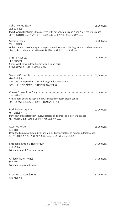| 소호 스테이크                                                                                                                                    | 35,000 won |
|--------------------------------------------------------------------------------------------------------------------------------------------|------------|
| Rich flavored Beef ribeye Steak served with hot vegetables and "Pino Noir" red wine sauce<br>세련된 풍성함을 느낄 수 있는 꽃등심 스테이크와 뜨거운 야채, 삐노누아 와인 소스 |            |
| 연어 스테이크                                                                                                                                    | 32,000 won |
| Grilled salmon steak and special vegetables with caper & whole grain mustard cream sauce<br>케이퍼, 홀그레인 머스타드 크림소스로 풍미를 더한 연어 스테이크와 특수야채      |            |
| 새우 까슈엘라                                                                                                                                    | 24,000 won |
| Shrimp dishes with deep flavors of garlic and herbs<br>마늘과 허브의 깊은 풍미를 더한 새우 요리                                                             |            |
| 해산물 냄비 요리                                                                                                                                  | 25,000 won |
| Sea-bass, shrimp & clam stew with vegetables remoulade<br>농어, 새우, 모시조개와 야채 리물라드를 얹은 해물 찜                                                   |            |
| Cheese Cream Pork Belly <b>contained to the Cheese Cream Pork Belly</b><br>치즈 크림 삼겹살                                                       | 23,000 won |
| Grilled pork belly and vegetables with cheddar cheese cream sauce<br>체다치즈 크림 소스로 맛을 더한 돼지 삼겹살, 야채 구이                                       |            |
| 돼지 삼겹살 크로켓                                                                                                                                 | 22,000 won |
| Pork belly croquettes with squid, potatoes and barbecue in port wine sauce<br>돼지 삼겹살 크로켓, 오징어, 감자와 바베큐 포트와인 소스                             |            |
| 모듬 튀김                                                                                                                                      | 19,000 won |
| Deep fried squed with squid ink, shrimp, bell pepper jalapeno pepper in tartar sauce<br>오징어 먹물로 튀긴 오징어와 새우, 피망, 할라페뇨 고추와 타르타르 소스           |            |
| 훈제 연어 & 대하                                                                                                                                 | 34,000 won |
| With horseradish & cocktail sauce                                                                                                          |            |
| 닭날개튀김                                                                                                                                      | 27,000 won |
| With honey mustard sauce                                                                                                                   |            |
| Assorted seasonal fruits with the contract of the seasonal fruits and the seasonal fruits are sensible to the<br>모듬 계절 과일                  | 37,000 won |